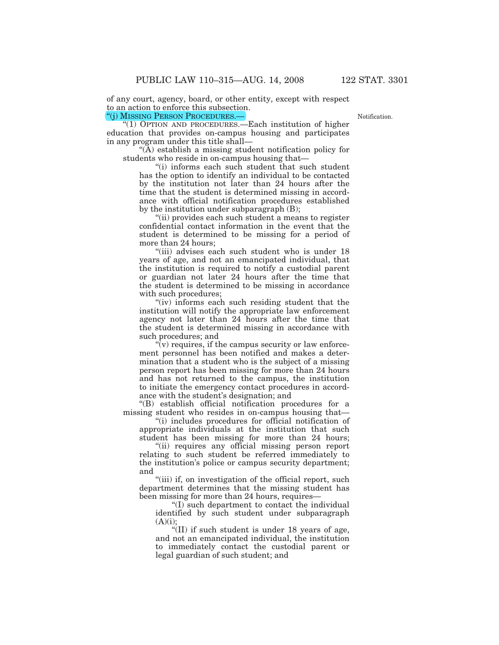of any court, agency, board, or other entity, except with respect to an action to enforce this subsection. ''(j) MISSING PERSON PROCEDURES.—

**Notification** 

''(1) OPTION AND PROCEDURES.—Each institution of higher education that provides on-campus housing and participates in any program under this title shall—

''(A) establish a missing student notification policy for students who reside in on-campus housing that—

''(i) informs each such student that such student has the option to identify an individual to be contacted by the institution not later than 24 hours after the time that the student is determined missing in accordance with official notification procedures established by the institution under subparagraph (B);

''(ii) provides each such student a means to register confidential contact information in the event that the student is determined to be missing for a period of more than 24 hours;

''(iii) advises each such student who is under 18 years of age, and not an emancipated individual, that the institution is required to notify a custodial parent or guardian not later 24 hours after the time that the student is determined to be missing in accordance with such procedures;

"(iv) informs each such residing student that the institution will notify the appropriate law enforcement agency not later than 24 hours after the time that the student is determined missing in accordance with such procedures; and

 $\sqrt[n]{v}$  requires, if the campus security or law enforcement personnel has been notified and makes a determination that a student who is the subject of a missing person report has been missing for more than 24 hours and has not returned to the campus, the institution to initiate the emergency contact procedures in accordance with the student's designation; and

''(B) establish official notification procedures for a missing student who resides in on-campus housing that—

''(i) includes procedures for official notification of appropriate individuals at the institution that such student has been missing for more than 24 hours;

"(ii) requires any official missing person report relating to such student be referred immediately to the institution's police or campus security department; and

"(iii) if, on investigation of the official report, such department determines that the missing student has been missing for more than 24 hours, requires—

''(I) such department to contact the individual identified by such student under subparagraph  $(A)(i);$ 

 $\sqrt{\text{III}}$  if such student is under 18 years of age, and not an emancipated individual, the institution to immediately contact the custodial parent or legal guardian of such student; and